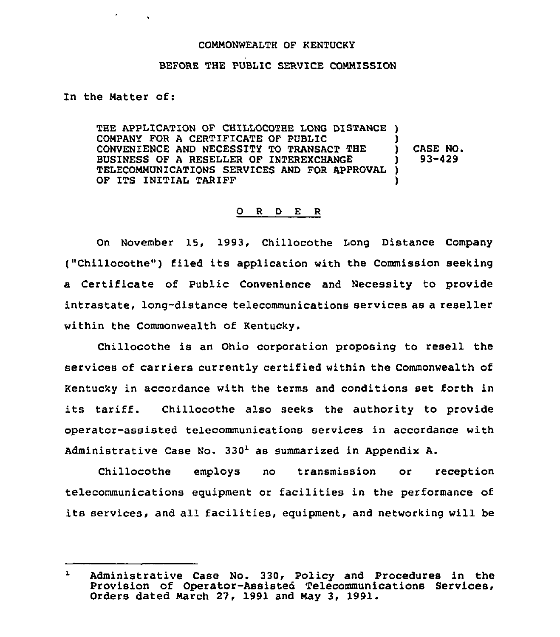## COMMONWEALTH OF KENTUCKY

## BEFORE THE PUBLIC SERVICE COMMISSION

In the Matter of:

THE APPLICATION OF CHILLOCOTHE LONG DISTANCE ) COMPANY FOR A CERTIFICATE OF PUBLIC CONVENIENCE AND NECESSITY TO TRANSACT THE BUSINESS OF A RESELLER OF INTEREXCHANGE TELECOMMUNICATIONS SERVICES AND FOR APPROVAL OF ITS INITIAL TARIFF ) ) CASE NO. ) 93-429 ) )

## 0 <sup>R</sup> <sup>D</sup> E <sup>R</sup>

On November 15, 1993, Chillocothe Long Distance Company ("Chillocothe") filed its application with the Commission seeking a Certificate of Public Convenience and Necessity to provide intrastate, long-distance telecommunications services as a reseller within the Commonwealth of Kentucky.

Chillocothe is an Ohio corporation proposing to resell the services of carriers currently certified within the Commonwealth of Kentucky in accordance with the terms and conditions set forth in its tariff. Chillocothe also seeks the authority to provide operator-assisted telecommunications services in accordance with Administrative Case No.  $330<sup>1</sup>$  as summarized in Appendix A.

Chillocothe employs no transmission or reception telecommunications equipment or facilities in the performance of its services, and all facilities, equipment, and networking will be

 $\mathbf{I}$ Administrative Case No. 330, Policy and Procedures in the Provision of Operator-Assisted Telecommunications Services, Orders dated March 27, 1991 and May 3, 1991.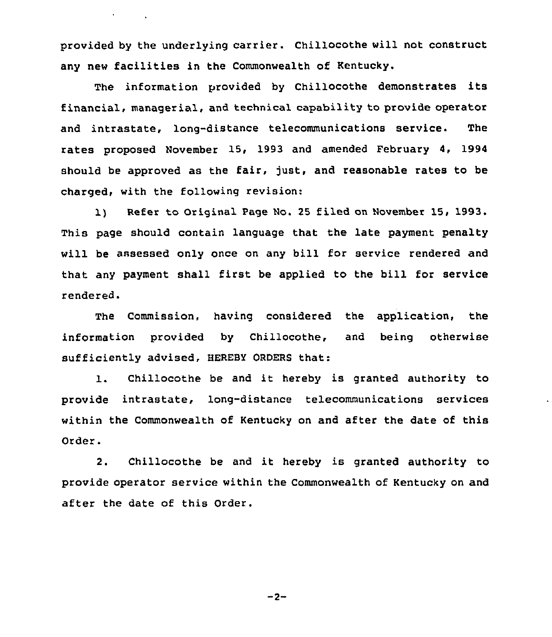provided by the underlying carrier. Chillocothe will not construct any new facilities in the Commonwealth of Kentucky.

 $\epsilon$  and  $\epsilon$  .

The information provided by Chillocothe demonstrates its financial, managerial, and technical capability to provide operator and intrastate, long-distance telecommunications service. The rates proposed November 15, 1993 and amended February 4, 1994 should be approved as the fair, just, and reasonable rates to be charged, with the following xevision:

1) Refer to Original Page No. 25 filed on November 15, 1993. This page should contain language that the late payment penalty will be assessed only once on any bill for service rendered and that any payment shall first be applied to the bill for service rendered.

The Commission, having considered the application, the information provided by Chillocothe, and being otherwise sufficiently advised, HEREBY ORDERS that:

1. Chillocothe be and it hereby is granted authority to provide intrastate, long-distance telecommunications services within the Commonwealth of Kentucky on and after the date of this Order.

2. Chillocothe be and it hereby is granted authority to provide operator service within the Commonwealth of Kentucky on and after the date of this Order.

 $-2-$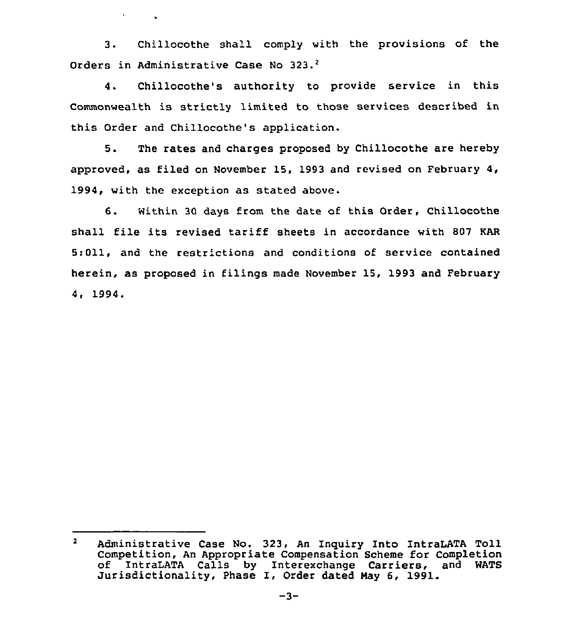3. Chillocothe shall comply with the provisions of the Orders in Administrative Case No 323.<sup>2</sup>

 $\mathcal{A}^{\text{max}}$  and  $\mathcal{A}^{\text{max}}$ 

Chillocothe's authority to provide service in this  $\Delta$ . Commonwealth is strictly limited to those services described in this Order and Chillocothe's application.

5. The rates and charges proposed by Chillocothe are hereby approved, as filed on November 15, 1993 and revised on February 4, 1994, with the exception as stated above.

6. Within <sup>30</sup> days from the date of this Order, Chillocothe shall file its revised tariff sheets in accordance with <sup>807</sup> KAR 5:011, and the restrictions and conditions of service contained herein, as proposed in filings made November 15, 1993 and February 4, 1994.

 $\overline{\mathbf{2}}$ Administrative Case No. 323, An Inquiry Into IntraLATA Toll Competition, An Appropriate Compensation Scheme for Completion of IntraLATA Calls by Interexchange Carriers, and WATS<br>Jurisdictionality, Phase I, Order dated May 6, 1991.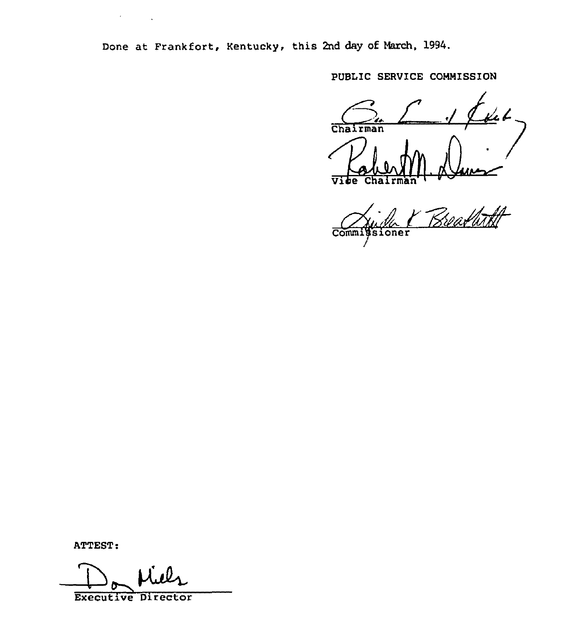Done at Frankfort, Kentucky. this 2nd day of March, 1994.

PUBLIC SERVICE COMMISSION

Chairman ਯ **Chairma** 

 $\frac{1}{2}$  11 11 Comm. oner

ATTEST:

Executive Director

 $\lambda$  and  $\lambda$  .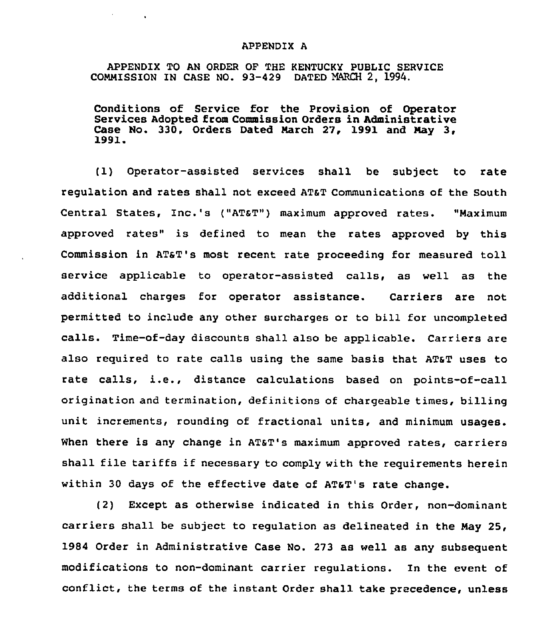## APPENDIX A

APPENDIX TO AN ORDER OF THE KENTUCKY PUBLIC SERVICE COMMISSION IN CASE NO. 93-429 DATED MARCH 2, 1994.

**All Contracts** 

Conditions of Service for the Provision of Operator Services Adopted from Commission Orders in Administrative Case No. 330, Orders Dated March 27, 1991 and May 3, 1991.

(1} Operator-assisted services shall be subject to rate regulation and rates shall not exceed ATaT Communications of the South Central States, Inc.'s ("ATST") maximum approved rates. Maximum approved rates" is defined to mean the rates approved by this Commission in ATST's most recent rate proceeding for measured toll service applicable to operator-assisted calls, as well as the additional charges for operator assistance. Carriers are not permitted to include any other surcharges or to bill for uncompleted calls. Time-of-day discounts shall also be applicable. Carriers are also required to rate calls using the same basis that AT&T uses to rate calls, i.e., distance calculations based on points-of-call origination and termination, definitions of chargeable times, billing unit increments, rounding of fractional units, and minimum usages. When there is any change in AT&T's maximum approved rates, carriers shall file tariffs if necessary to comply with the reguirements herein within 30 days of the effective date of ATaT's rate change.

(2) Except as otherwise indicated in this Order, non-dominant carriers shall be subject to regulation as delineated in the Nay 25, 1984 Order in Administrative Case No. 273 as well as any subseguent modifications to non-dominant carrier regulations. In the event of conflict, the terms of the instant Order shall take precedence, unless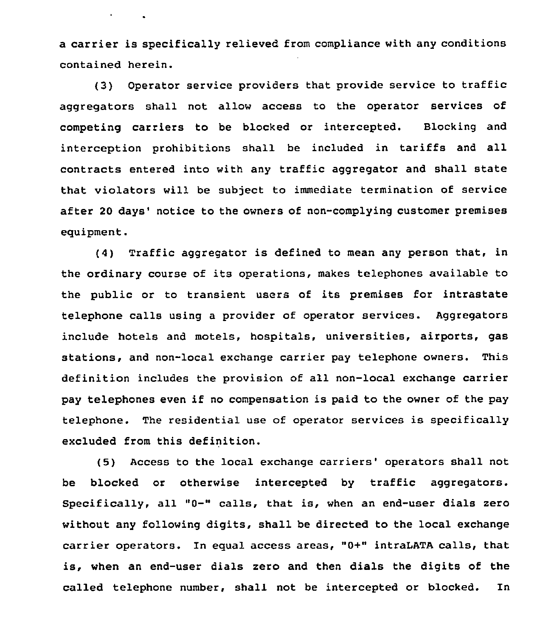a carrier is specifically relieved from compliance with any conditions contained herein.

 $\sigma_{\rm{max}}=0.1$ 

(3) Operator service providers that provide service to traffic aggregators shall not allow access to the operator services of competing carriers to be blocked or intercepted. Blocking and interception prohibitions shall be included in tariffs and all contracts entered into with any traffic aggregator and shall state that violators will be subject to immediate termination of service after 20 days' notice to the owners of non-complying customer premises eguipment.

(4) Traffic aggregator is defined to mean any person that, in the ordinary course of its operations, makes telephones available to the public or to transient users of its premises for intrastate telephone calls using a provider of operator services. Aggregators include hotels and motels, hospitals, universities, airports, gas stations, and non-local exchange carrier pay telephone owners. This definition includes the provision of all non-local exchange carrier pay telephones even if no compensation is paid to the owner of the pay telephone. The residential use of operator services is specifically excluded from this definition.

(5) Access to the local exchange carriers' operators shall not be blocked or otherwise intercepted by traffic aggregators. Specifically, all "0-" calls, that is, when an end-user dials zero without any following digits, shall be directed to the local exchange carrier operators. In egual access areas, "0+" intraLATA calls, that is, when an end-user dials zero and then dials the digits of the called telephone number, shall not be intercepted or blocked. In